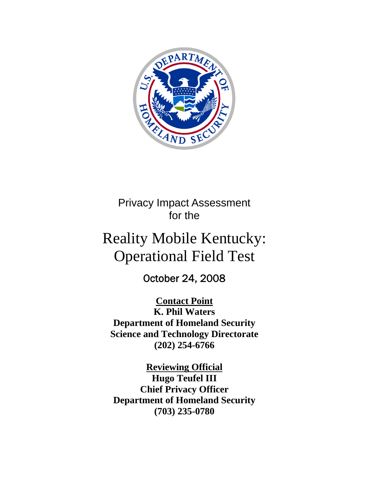

Privacy Impact Assessment for the

# Reality Mobile Kentucky: Operational Field Test

October 24, 2008

**Contact Point K. Phil Waters Department of Homeland Security Science and Technology Directorate (202) 254-6766** 

**Reviewing Official Hugo Teufel III Chief Privacy Officer Department of Homeland Security (703) 235-0780**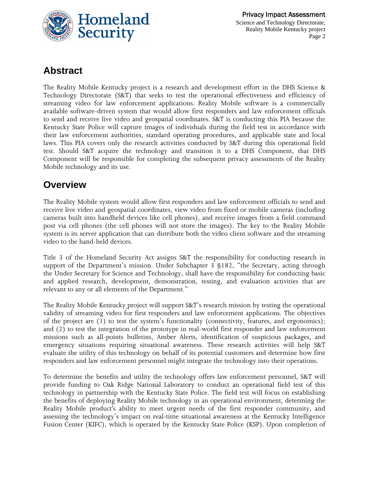

## **Abstract**

The Reality Mobile Kentucky project is a research and development effort in the DHS Science & Technology Directorate (S&T) that seeks to test the operational effectiveness and efficiency of streaming video for law enforcement applications. Reality Mobile software is a commercially available software-driven system that would allow first responders and law enforcement officials to send and receive live video and geospatial coordinates. S&T is conducting this PIA because the Kentucky State Police will capture images of individuals during the field test in accordance with their law enforcement authorities, standard operating procedures, and applicable state and local laws. This PIA covers only the research activities conducted by S&T during this operational field test. Should S&T acquire the technology and transition it to a DHS Component, that DHS Component will be responsible for completing the subsequent privacy assessments of the Reality Mobile technology and its use.

## **Overview**

The Reality Mobile system would allow first responders and law enforcement officials to send and receive live video and geospatial coordinates, view video from fixed or mobile cameras (including cameras built into handheld devices like cell phones), and receive images from a field command post via cell phones (the cell phones will not store the images). The key to the Reality Mobile system is its server application that can distribute both the video client software and the streaming video to the hand-held devices.

Title 3 of the Homeland Security Act assigns S&T the responsibility for conducting research in support of the Department's mission. Under Subchapter 3 §182, "the Secretary, acting through the Under Secretary for Science and Technology, shall have the responsibility for conducting basic and applied research, development, demonstration, testing, and evaluation activities that are relevant to any or all elements of the Department."

The Reality Mobile Kentucky\_project will support S&T's research mission by testing the operational validity of streaming video for first responders and law enforcement applications. The objectives of the project are (1) to test the system's functionality (connectivity, features, and ergonomics); and (2) to test the integration of the prototype in real-world first responder and law enforcement missions such as all-points bulletins, Amber Alerts, identification of suspicious packages, and emergency situations requiring situational awareness. These research activities will help S&T evaluate the utility of this technology on behalf of its potential customers and determine how first responders and law enforcement personnel might integrate the technology into their operations.

To determine the benefits and utility the technology offers law enforcement personnel, S&T will provide funding to Oak Ridge National Laboratory to conduct an operational field test of this technology in partnership with the Kentucky State Police. The field test will focus on establishing the benefits of deploying Reality Mobile technology in an operational environment, determing the Reality Mobile product's ability to meet urgent needs of the first responder community, and assessing the technology's impact on real-time situational awareness at the Kentucky Intelligence Fusion Center (KIFC), which is operated by the Kentucky State Police (KSP). Upon completion of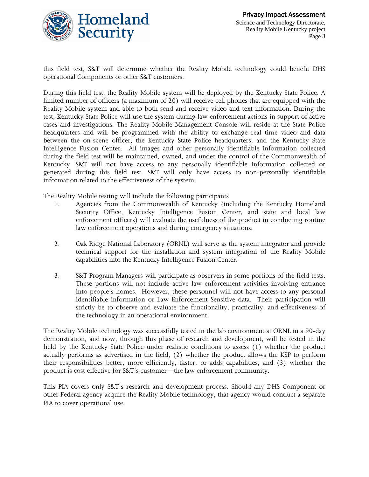

this field test, S&T will determine whether the Reality Mobile technology could benefit DHS operational Components or other S&T customers.

During this field test, the Reality Mobile system will be deployed by the Kentucky State Police. A limited number of officers (a maximum of 20) will receive cell phones that are equipped with the Reality Mobile system and able to both send and receive video and text information. During the test, Kentucky State Police will use the system during law enforcement actions in support of active cases and investigations. The Reality Mobile Management Console will reside at the State Police headquarters and will be programmed with the ability to exchange real time video and data between the on-scene officer, the Kentucky State Police headquarters, and the Kentucky State Intelligence Fusion Center. All images and other personally identifiable information collected during the field test will be maintained, owned, and under the control of the Commonwealth of Kentucky. S&T will not have access to any personally identifiable information collected or generated during this field test. S&T will only have access to non-personally identifiable information related to the effectiveness of the system.

The Reality Mobile testing will include the following participants

- 1. Agencies from the Commonwealth of Kentucky (including the Kentucky Homeland Security Office, Kentucky Intelligence Fusion Center, and state and local law enforcement officers) will evaluate the usefulness of the product in conducting routine law enforcement operations and during emergency situations.
- 2. Oak Ridge National Laboratory (ORNL) will serve as the system integrator and provide technical support for the installation and system integration of the Reality Mobile capabilities into the Kentucky Intelligence Fusion Center.
- 3. S&T Program Managers will participate as observers in some portions of the field tests. These portions will not include active law enforcement activities involving entrance into people's homes. However, these personnel will not have access to any personal identifiable information or Law Enforcement Sensitive data. Their participation will strictly be to observe and evaluate the functionality, practicality, and effectiveness of the technology in an operational environment.

The Reality Mobile technology was successfully tested in the lab environment at ORNL in a 90-day demonstration, and now, through this phase of research and development, will be tested in the field by the Kentucky State Police under realistic conditions to assess (1) whether the product actually performs as advertised in the field, (2) whether the product allows the KSP to perform their responsibilities better, more efficiently, faster, or adds capabilities, and (3) whether the product is cost effective for S&T's customer—the law enforcement community.

This PIA covers only S&T's research and development process. Should any DHS Component or other Federal agency acquire the Reality Mobile technology, that agency would conduct a separate PIA to cover operational use.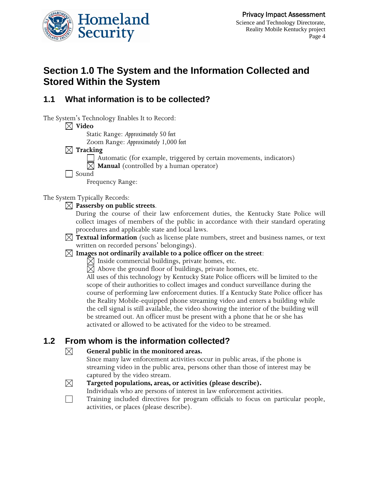

## **Section 1.0 The System and the Information Collected and Stored Within the System**

## **1.1 What information is to be collected?**

The System's Technology Enables It to Record:

#### $\boxtimes$  Video

Static Range: *Approximately 50 feet*

Zoom Range: *Approximately 1,000 feet*

#### **Tracking**

Automatic (for example, triggered by certain movements, indicators)

 $\boxtimes$  **Manual** (controlled by a human operator)

Sound

Frequency Range:

The System Typically Records:

- **Passersby on public streets**.
	- During the course of their law enforcement duties, the Kentucky State Police will collect images of members of the public in accordance with their standard operating procedures and applicable state and local laws.
- **Textual information** (such as license plate numbers, street and business names, or text written on recorded persons' belongings).

#### $\boxtimes$  Images not ordinarily available to a police officer on the street:

 $\boxtimes$  Inside commercial buildings, private homes, etc.

 $\boxtimes$  Above the ground floor of buildings, private homes, etc.

All uses of this technology by Kentucky State Police officers will be limited to the scope of their authorities to collect images and conduct surveillance during the course of performing law enforcement duties. If a Kentucky State Police officer has the Reality Mobile-equipped phone streaming video and enters a building while the cell signal is still available, the video showing the interior of the building will be streamed out. An officer must be present with a phone that he or she has activated or allowed to be activated for the video to be streamed.

## **1.2 From whom is the information collected?**

#### **General public in the monitored areas.**

Since many law enforcement activities occur in public areas, if the phone is streaming video in the public area, persons other than those of interest may be captured by the video stream.

# $\boxtimes$

 $\boxtimes$ 

**Targeted populations, areas, or activities (please describe).**

Individuals who are persons of interest in law enforcement activities.

Training included directives for program officials to focus on particular people, activities, or places (please describe).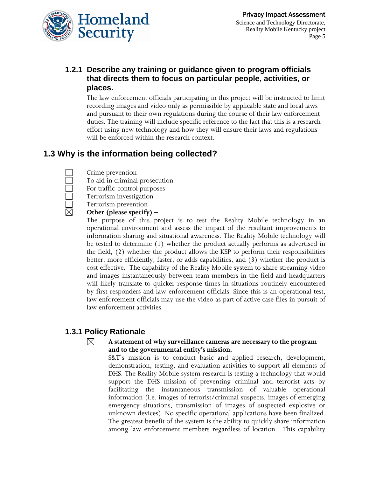

## **1.2.1 Describe any training or guidance given to program officials that directs them to focus on particular people, activities, or places.**

The law enforcement officials participating in this project will be instructed to limit recording images and video only as permissible by applicable state and local laws and pursuant to their own regulations during the course of their law enforcement duties. The training will include specific reference to the fact that this is a research effort using new technology and how they will ensure their laws and regulations will be enforced within the research context.

## **1.3 Why is the information being collected?**

Crime prevention

To aid in criminal prosecution

For traffic-control purposes

Terrorism investigation

Terrorism prevention

#### **Other (please specify) –**

The purpose of this project is to test the Reality Mobile technology in an operational environment and assess the impact of the resultant improvements to information sharing and situational awareness. The Reality Mobile technology will be tested to determine (1) whether the product actually performs as advertised in the field, (2) whether the product allows the KSP to perform their responsibilities better, more efficiently, faster, or adds capabilities, and (3) whether the product is cost effective. The capability of the Reality Mobile system to share streaming video and images instantaneously between team members in the field and headquarters will likely translate to quicker response times in situations routinely encountered by first responders and law enforcement officials. Since this is an operational test, law enforcement officials may use the video as part of active case files in pursuit of law enforcement activities.

#### **1.3.1 Policy Rationale**

#### ⊠ **A statement of why surveillance cameras are necessary to the program and to the governmental entity's mission.**

S&T's mission is to conduct basic and applied research, development, demonstration, testing, and evaluation activities to support all elements of DHS. The Reality Mobile system research is testing a technology that would support the DHS mission of preventing criminal and terrorist acts by facilitating the instantaneous transmission of valuable operational information (i.e. images of terrorist/criminal suspects, images of emerging emergency situations, transmission of images of suspected explosive or unknown devices). No specific operational applications have been finalized. The greatest benefit of the system is the ability to quickly share information among law enforcement members regardless of location. This capability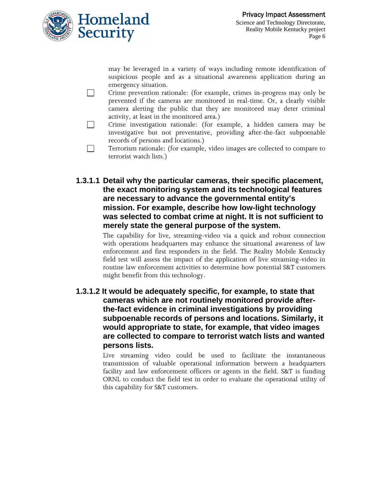

may be leveraged in a variety of ways including remote identification of suspicious people and as a situational awareness application during an emergency situation.

- Crime prevention rationale: (for example, crimes in-progress may only be prevented if the cameras are monitored in real-time. Or, a clearly visible camera alerting the public that they are monitored may deter criminal activity, at least in the monitored area.)
- Crime investigation rationale: (for example, a hidden camera may be investigative but not preventative, providing after-the-fact subpoenable records of persons and locations.)
- Terrorism rationale: (for example, video images are collected to compare to terrorist watch lists.)
- **1.3.1.1 Detail why the particular cameras, their specific placement, the exact monitoring system and its technological features are necessary to advance the governmental entity's mission. For example, describe how low-light technology was selected to combat crime at night. It is not sufficient to merely state the general purpose of the system.**

The capability for live, streaming-video via a quick and robust connection with operations headquarters may enhance the situational awareness of law enforcement and first responders in the field. The Reality Mobile Kentucky field test will assess the impact of the application of live streaming-video in routine law enforcement activities to determine how potential S&T customers might benefit from this technology.

**1.3.1.2 It would be adequately specific, for example, to state that cameras which are not routinely monitored provide afterthe-fact evidence in criminal investigations by providing subpoenable records of persons and locations. Similarly, it would appropriate to state, for example, that video images are collected to compare to terrorist watch lists and wanted persons lists.** 

> Live streaming video could be used to facilitate the instantaneous transmission of valuable operational information between a headquarters facility and law enforcement officers or agents in the field. S&T is funding ORNL to conduct the field test in order to evaluate the operational utility of this capability for S&T customers.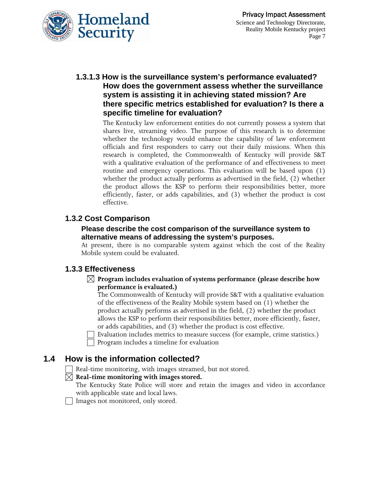

**1.3.1.3 How is the surveillance system's performance evaluated? How does the government assess whether the surveillance system is assisting it in achieving stated mission? Are there specific metrics established for evaluation? Is there a specific timeline for evaluation?** 

> The Kentucky law enforcement entities do not currently possess a system that shares live, streaming video. The purpose of this research is to determine whether the technology would enhance the capability of law enforcement officials and first responders to carry out their daily missions. When this research is completed, the Commonwealth of Kentucky will provide S&T with a qualitative evaluation of the performance of and effectiveness to meet routine and emergency operations. This evaluation will be based upon (1) whether the product actually performs as advertised in the field, (2) whether the product allows the KSP to perform their responsibilities better, more efficiently, faster, or adds capabilities, and (3) whether the product is cost effective.

#### **1.3.2 Cost Comparison**

#### **Please describe the cost comparison of the surveillance system to alternative means of addressing the system's purposes.**

At present, there is no comparable system against which the cost of the Reality Mobile system could be evaluated.

#### **1.3.3 Effectiveness**

**Program includes evaluation of systems performance (please describe how performance is evaluated.)**

The Commonwealth of Kentucky will provide S&T with a qualitative evaluation of the effectiveness of the Reality Mobile system based on (1) whether the product actually performs as advertised in the field, (2) whether the product allows the KSP to perform their responsibilities better, more efficiently, faster, or adds capabilities, and (3) whether the product is cost effective.

 Evaluation includes metrics to measure success (for example, crime statistics.) Program includes a timeline for evaluation

### **1.4 How is the information collected?**

Real-time monitoring, with images streamed, but not stored.

#### $\boxtimes$  Real-time monitoring with images stored.

- The Kentucky State Police will store and retain the images and video in accordance with applicable state and local laws.
- Images not monitored, only stored.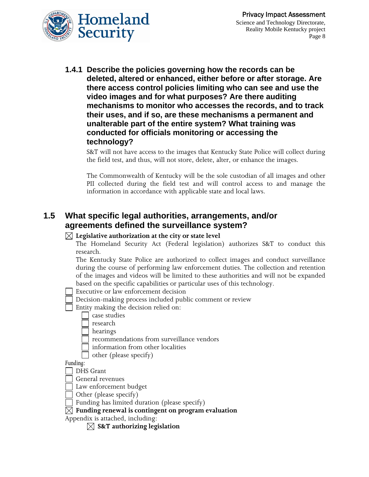

**1.4.1 Describe the policies governing how the records can be deleted, altered or enhanced, either before or after storage. Are there access control policies limiting who can see and use the video images and for what purposes? Are there auditing mechanisms to monitor who accesses the records, and to track their uses, and if so, are these mechanisms a permanent and unalterable part of the entire system? What training was conducted for officials monitoring or accessing the technology?** 

S&T will not have access to the images that Kentucky State Police will collect during the field test, and thus, will not store, delete, alter, or enhance the images.

The Commonwealth of Kentucky will be the sole custodian of all images and other PII collected during the field test and will control access to and manage the information in accordance with applicable state and local laws.

## **1.5 What specific legal authorities, arrangements, and/or agreements defined the surveillance system?**

#### $\boxtimes$  Legislative authorization at the city or state level

The Homeland Security Act (Federal legislation) authorizes S&T to conduct this research.

The Kentucky State Police are authorized to collect images and conduct surveillance during the course of performing law enforcement duties. The collection and retention of the images and videos will be limited to these authorities and will not be expanded based on the specific capabilities or particular uses of this technology.

- Executive or law enforcement decision
- Decision-making process included public comment or review
- Entity making the decision relied on:
	- case studies
	- research
	- hearings
	- recommendations from surveillance vendors
	- information from other localities
		- other (please specify)

*Funding:* 

- DHS Grant
- General revenues
- Law enforcement budget
- Other (please specify)
- Funding has limited duration (please specify)
- **Funding renewal is contingent on program evaluation**
- Appendix is attached, including:
	- **S&T authorizing legislation**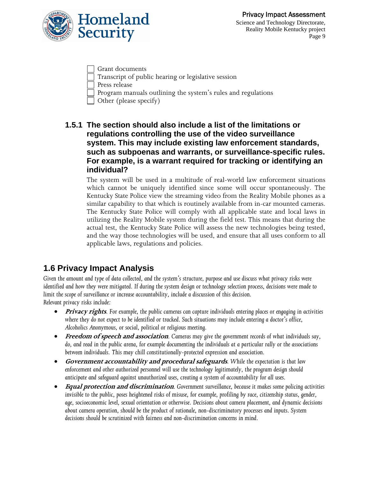



Science and Technology Directorate, Reality Mobile Kentucky project Page 9

- Grant documents
- Transcript of public hearing or legislative session
- Press release
- Program manuals outlining the system's rules and regulations
- Other (please specify)
- **1.5.1 The section should also include a list of the limitations or regulations controlling the use of the video surveillance system. This may include existing law enforcement standards, such as subpoenas and warrants, or surveillance-specific rules. For example, is a warrant required for tracking or identifying an individual?**

The system will be used in a multitude of real-world law enforcement situations which cannot be uniquely identified since some will occur spontaneously. The Kentucky State Police view the streaming video from the Reality Mobile phones as a similar capability to that which is routinely available from in-car mounted cameras. The Kentucky State Police will comply with all applicable state and local laws in utilizing the Reality Mobile system during the field test. This means that during the actual test, the Kentucky State Police will assess the new technologies being tested, and the way those technologies will be used, and ensure that all uses conform to all applicable laws, regulations and policies.

## **1.6 Privacy Impact Analysis**

*Given the amount and type of data collected, and the system's structure, purpose and use discuss what privacy risks were identified and how they were mitigated. If during the system design or technology selection process, decisions were made to limit the scope of surveillance or increase accountability, include a discussion of this decision. Relevant privacy risks include:* 

- **Privacy rights***. For example, the public cameras can capture individuals entering places or engaging in activities where they do not expect to be identified or tracked. Such situations may include entering a doctor's office, Alcoholics Anonymous, or social, political or religious meeting.*
- **Freedom of speech and association***. Cameras may give the government records of what individuals say, do, and read in the public arena, for example documenting the individuals at a particular rally or the associations between individuals. This may chill constitutionally-protected expression and association.*
- **Government accountability and procedural safeguards***. While the expectation is that law enforcement and other authorized personnel will use the technology legitimately, the program design should anticipate and safeguard against unauthorized uses, creating a system of accountability for all uses.*
- **Equal protection and discrimination***. Government surveillance, because it makes some policing activities invisible to the public, poses heightened risks of misuse, for example, profiling by race, citizenship status, gender, age, socioeconomic level, sexual orientation or otherwise. Decisions about camera placement, and dynamic decisions about camera operation, should be the product of rationale, non-discriminatory processes and inputs. System decisions should be scrutinized with fairness and non-discrimination concerns in mind.*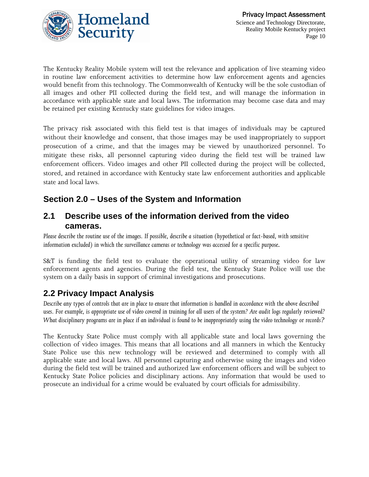

The Kentucky Reality Mobile system will test the relevance and application of live steaming video in routine law enforcement activities to determine how law enforcement agents and agencies would benefit from this technology. The Commonwealth of Kentucky will be the sole custodian of all images and other PII collected during the field test, and will manage the information in accordance with applicable state and local laws. The information may become case data and may be retained per existing Kentucky state guidelines for video images.

The privacy risk associated with this field test is that images of individuals may be captured without their knowledge and consent, that those images may be used inappropriately to support prosecution of a crime, and that the images may be viewed by unauthorized personnel. To mitigate these risks, all personnel capturing video during the field test will be trained law enforcement officers. Video images and other PII collected during the project will be collected, stored, and retained in accordance with Kentucky state law enforcement authorities and applicable state and local laws.

## **Section 2.0 – Uses of the System and Information**

### **2.1 Describe uses of the information derived from the video cameras.**

*Please describe the routine use of the images. If possible, describe a situation (hypothetical or fact-based, with sensitive information excluded) in which the surveillance cameras or technology was accessed for a specific purpose*.

S&T is funding the field test to evaluate the operational utility of streaming video for law enforcement agents and agencies. During the field test, the Kentucky State Police will use the system on a daily basis in support of criminal investigations and prosecutions.

## **2.2 Privacy Impact Analysis**

*Describe any types of controls that are in place to ensure that information is handled in accordance with the above described uses. For example, is appropriate use of video covered in training for all users of the system? Are audit logs regularly reviewed? What disciplinary programs are in place if an individual is found to be inappropriately using the video technology or records?*

The Kentucky State Police must comply with all applicable state and local laws governing the collection of video images. This means that all locations and all manners in which the Kentucky State Police use this new technology will be reviewed and determined to comply with all applicable state and local laws. All personnel capturing and otherwise using the images and video during the field test will be trained and authorized law enforcement officers and will be subject to Kentucky State Police policies and disciplinary actions. Any information that would be used to prosecute an individual for a crime would be evaluated by court officials for admissibility.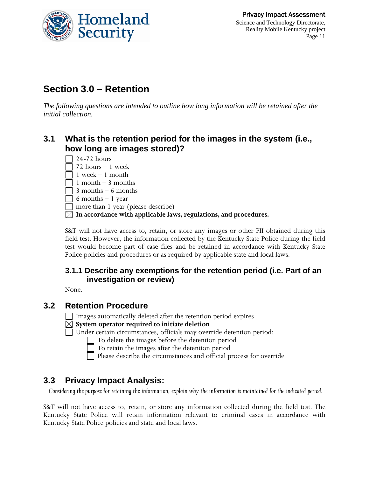

## **Section 3.0 – Retention**

*The following questions are intended to outline how long information will be retained after the initial collection.* 

## **3.1 What is the retention period for the images in the system (i.e., how long are images stored)?**

 $\Box$  24-72 hours  $\Box$  72 hours – 1 week  $\Box$  1 week – 1 month  $\Box$  1 month – 3 months  $\Box$  3 months – 6 months  $\Box$  6 months  $-1$  year more than 1 year (please describe) **In accordance with applicable laws, regulations, and procedures.**

S&T will not have access to, retain, or store any images or other PII obtained during this field test. However, the information collected by the Kentucky State Police during the field test would become part of case files and be retained in accordance with Kentucky State Police policies and procedures or as required by applicable state and local laws.

### **3.1.1 Describe any exemptions for the retention period (i.e. Part of an investigation or review)**

None.

### **3.2 Retention Procedure**

Images automatically deleted after the retention period expires

- **System operator required to initiate deletion**
- Under certain circumstances, officials may override detention period:

 $\Box$  To delete the images before the detention period

To retain the images after the detention period

Please describe the circumstances and official process for override

## **3.3 Privacy Impact Analysis:**

*Considering the purpose for retaining the information, explain why the information is maintained for the indicated period.* 

S&T will not have access to, retain, or store any information collected during the field test. The Kentucky State Police will retain information relevant to criminal cases in accordance with Kentucky State Police policies and state and local laws.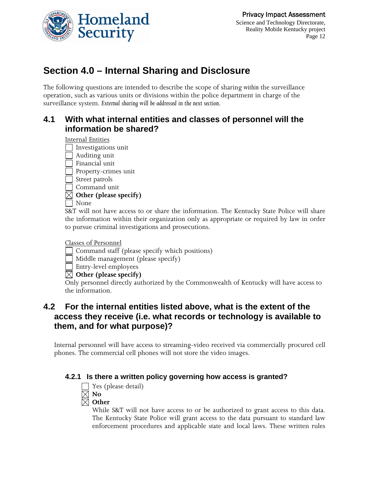

## **Section 4.0 – Internal Sharing and Disclosure**

The following questions are intended to describe the scope of sharing *within* the surveillance operation, such as various units or divisions within the police department in charge of the surveillance system. *External sharing will be addressed in the next section.*

## **4.1 With what internal entities and classes of personnel will the information be shared?**

Internal Entities

- Investigations unit
- Auditing unit
- Financial unit
- Property-crimes unit
- Street patrols
- Command unit
- **Other (please specify)**
- None

S&T will not have access to or share the information. The Kentucky State Police will share the information within their organization only as appropriate or required by law in order to pursue criminal investigations and prosecutions.

#### Classes of Personnel

- Command staff (please specify which positions)
- $\Box$  Middle management (please specify)
- Entry-level employees

#### **Other (please specify)**

Only personnel directly authorized by the Commonwealth of Kentucky will have access to the information.

## **4.2 For the internal entities listed above, what is the extent of the access they receive (i.e. what records or technology is available to them, and for what purpose)?**

Internal personnel will have access to streaming-video received via commercially procured cell phones. The commercial cell phones will not store the video images.

#### **4.2.1 Is there a written policy governing how access is granted?**



While S&T will not have access to or be authorized to grant access to this data. The Kentucky State Police will grant access to the data pursuant to standard law enforcement procedures and applicable state and local laws. These written rules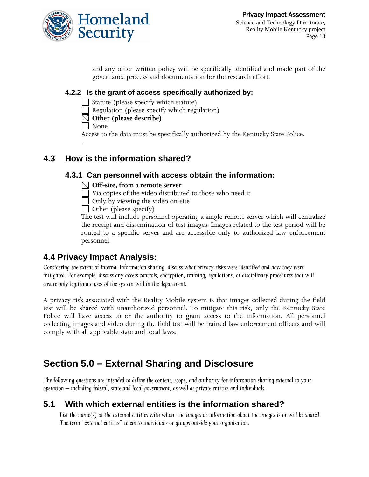

and any other written policy will be specifically identified and made part of the governance process and documentation for the research effort.

### **4.2.2 Is the grant of access specifically authorized by:**

Statute (please specify which statute)

- Regulation (please specify which regulation)
- **Other (please describe)**

None

.

Access to the data must be specifically authorized by the Kentucky State Police.

## **4.3 How is the information shared?**

## **4.3.1 Can personnel with access obtain the information:**

#### **Off-site, from a remote server**

Via copies of the video distributed to those who need it

 $\overline{\Box}$  Only by viewing the video on-site

 $\Box$  Other (please specify)

The test will include personnel operating a single remote server which will centralize the receipt and dissemination of test images. Images related to the test period will be routed to a specific server and are accessible only to authorized law enforcement personnel.

## **4.4 Privacy Impact Analysis:**

*Considering the extent of internal information sharing, discuss what privacy risks were identified and how they were mitigated. For example, discuss any access controls, encryption, training, regulations, or disciplinary procedures that will ensure only legitimate uses of the system within the department.* 

A privacy risk associated with the Reality Mobile system is that images collected during the field test will be shared with unauthorized personnel. To mitigate this risk, only the Kentucky State Police will have access to or the authority to grant access to the information. All personnel collecting images and video during the field test will be trained law enforcement officers and will comply with all applicable state and local laws.

## **Section 5.0 – External Sharing and Disclosure**

*The following questions are intended to define the content, scope, and authority for information sharing external to your operation – including federal, state and local government, as well as private entities and individuals.* 

## **5.1 With which external entities is the information shared?**

List the name(s) of the external entities with whom the images or information about the images is or will be shared. *The term "external entities" refers to individuals or groups outside your organization.*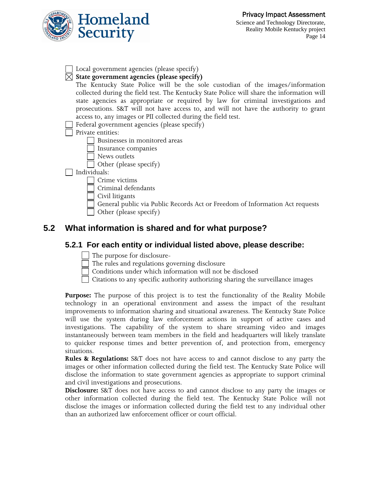

| Local government agencies (please specify)                                                 |  |  |
|--------------------------------------------------------------------------------------------|--|--|
| $\boxtimes$ State government agencies (please specify)                                     |  |  |
| The Kentucky State Police will be the sole custodian of the images/information             |  |  |
| collected during the field test. The Kentucky State Police will share the information will |  |  |
| state agencies as appropriate or required by law for criminal investigations and           |  |  |
| prosecutions. S&T will not have access to, and will not have the authority to grant        |  |  |
| access to, any images or PII collected during the field test.                              |  |  |
| Federal government agencies (please specify)                                               |  |  |
| Private entities:                                                                          |  |  |
| Businesses in monitored areas                                                              |  |  |
| Insurance companies                                                                        |  |  |
| News outlets                                                                               |  |  |
| Other (please specify)                                                                     |  |  |
| Individuals:                                                                               |  |  |
| Crime victims                                                                              |  |  |
| Criminal defendants                                                                        |  |  |
| Civil litigants                                                                            |  |  |
| General public via Public Records Act or Freedom of Information Act requests               |  |  |
| Other (please specify)                                                                     |  |  |

## **5.2 What information is shared and for what purpose?**

### **5.2.1 For each entity or individual listed above, please describe:**

- The purpose for disclosure-
- The rules and regulations governing disclosure
- Conditions under which information will not be disclosed

Citations to any specific authority authorizing sharing the surveillance images

**Purpose:** The purpose of this project is to test the functionality of the Reality Mobile technology in an operational environment and assess the impact of the resultant improvements to information sharing and situational awareness. The Kentucky State Police will use the system during law enforcement actions in support of active cases and investigations. The capability of the system to share streaming video and images instantaneously between team members in the field and headquarters will likely translate to quicker response times and better prevention of, and protection from, emergency situations.

**Rules & Regulations:** S&T does not have access to and cannot disclose to any party the images or other information collected during the field test. The Kentucky State Police will disclose the information to state government agencies as appropriate to support criminal and civil investigations and prosecutions.

**Disclosure:** S&T does not have access to and cannot disclose to any party the images or other information collected during the field test. The Kentucky State Police will not disclose the images or information collected during the field test to any individual other than an authorized law enforcement officer or court official.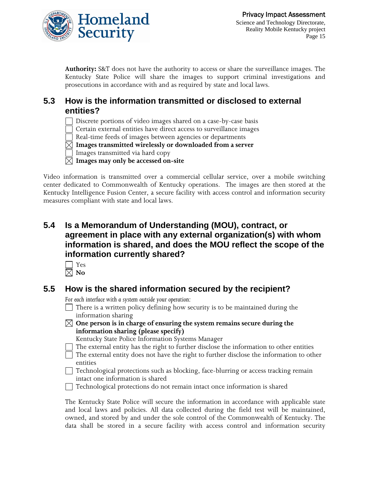

**Authority:** S&T does not have the authority to access or share the surveillance images. The Kentucky State Police will share the images to support criminal investigations and prosecutions in accordance with and as required by state and local laws.

## **5.3 How is the information transmitted or disclosed to external entities?**

Discrete portions of video images shared on a case-by-case basis

Certain external entities have direct access to surveillance images

Real-time feeds of images between agencies or departments

**Images transmitted wirelessly or downloaded from a server**

Images transmitted via hard copy

**Images may only be accessed on-site**

Video information is transmitted over a commercial cellular service, over a mobile switching center dedicated to Commonwealth of Kentucky operations. The images are then stored at the Kentucky Intelligence Fusion Center, a secure facility with access control and information security measures compliant with state and local laws.

## **5.4 Is a Memorandum of Understanding (MOU), contract, or agreement in place with any external organization(s) with whom information is shared, and does the MOU reflect the scope of the information currently shared?**

| $-$<br>× |
|----------|
|          |

 $\boxtimes$  No

## **5.5 How is the shared information secured by the recipient?**

*For each interface with a system outside your operation:* 

- $\Box$  There is a written policy defining how security is to be maintained during the information sharing
- **One person is in charge of ensuring the system remains secure during the information sharing (please specify)**

Kentucky State Police Information Systems Manager

The external entity has the right to further disclose the information to other entities

 The external entity does not have the right to further disclose the information to other entities

 Technological protections such as blocking, face-blurring or access tracking remain intact one information is shared

Technological protections do not remain intact once information is shared

The Kentucky State Police will secure the information in accordance with applicable state and local laws and policies. All data collected during the field test will be maintained, owned, and stored by and under the sole control of the Commonwealth of Kentucky. The data shall be stored in a secure facility with access control and information security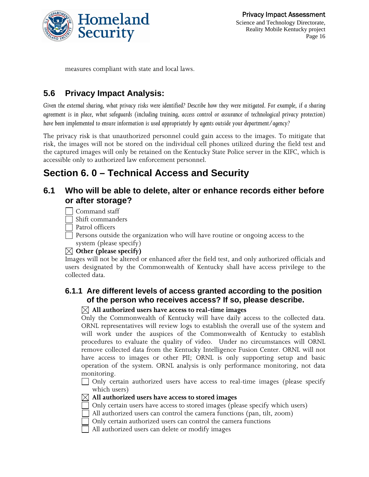

measures compliant with state and local laws.

## **5.6 Privacy Impact Analysis:**

*Given the external sharing, what privacy risks were identified? Describe how they were mitigated. For example, if a sharing agreement is in place, what safeguards (including training, access control or assurance of technological privacy protection) have been implemented to ensure information is used appropriately by agents outside your department/agency?* 

The privacy risk is that unauthorized personnel could gain access to the images. To mitigate that risk, the images will not be stored on the individual cell phones utilized during the field test and the captured images will only be retained on the Kentucky State Police server in the KIFC, which is accessible only to authorized law enforcement personnel.

## **Section 6. 0 – Technical Access and Security**

## **6.1 Who will be able to delete, alter or enhance records either before or after storage?**

Command staff

Shift commanders

Patrol officers

 $\Box$  Persons outside the organization who will have routine or ongoing access to the system (please specify)

#### **Other (please specify)**

Images will not be altered or enhanced after the field test, and only authorized officials and users designated by the Commonwealth of Kentucky shall have access privilege to the collected data.

#### **6.1.1 Are different levels of access granted according to the position of the person who receives access? If so, please describe.**

#### **All authorized users have access to real-time images**

Only the Commonwealth of Kentucky will have daily access to the collected data. ORNL representatives will review logs to establish the overall use of the system and will work under the auspices of the Commonwealth of Kentucky to establish procedures to evaluate the quality of video. Under no circumstances will ORNL remove collected data from the Kentucky Intelligence Fusion Center. ORNL will not have access to images or other PII; ORNL is only supporting setup and basic operation of the system. ORNL analysis is only performance monitoring, not data monitoring.

 Only certain authorized users have access to real-time images (please specify which users)

#### **All authorized users have access to stored images**

Only certain users have access to stored images (please specify which users)

- All authorized users can control the camera functions (pan, tilt, zoom)
- Only certain authorized users can control the camera functions

All authorized users can delete or modify images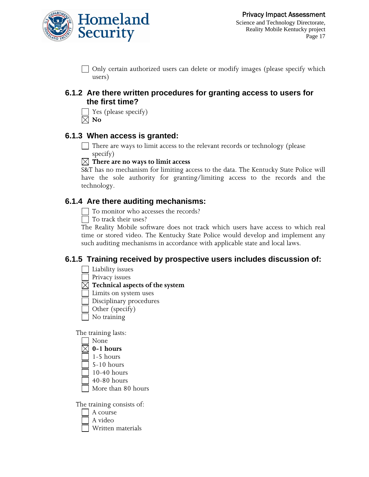

 $\Box$  Only certain authorized users can delete or modify images (please specify which users)

#### **6.1.2 Are there written procedures for granting access to users for the first time?**

 Yes (please specify)  $\boxtimes$  No

### **6.1.3 When access is granted:**

There are ways to limit access to the relevant records or technology (please specify)

#### **There are no ways to limit access**

S&T has no mechanism for limiting access to the data. The Kentucky State Police will have the sole authority for granting/limiting access to the records and the technology.

## **6.1.4 Are there auditing mechanisms:**

To monitor who accesses the records?

□ To track their uses?

The Reality Mobile software does not track which users have access to which real time or stored video. The Kentucky State Police would develop and implement any such auditing mechanisms in accordance with applicable state and local laws.

## **6.1.5 Training received by prospective users includes discussion of:**

- Liability issues
- Privacy issues
- **Technical aspects of the system**
	- Limits on system uses
	- Disciplinary procedures
	- Other (specify)
- No training

The training lasts:

- None
- $\boxtimes$  0-1 hours
- 1-5 hours
- 5-10 hours
- 10-40 hours
- 40-80 hours
- More than 80 hours

The training consists of:

- A course
- A video
- Written materials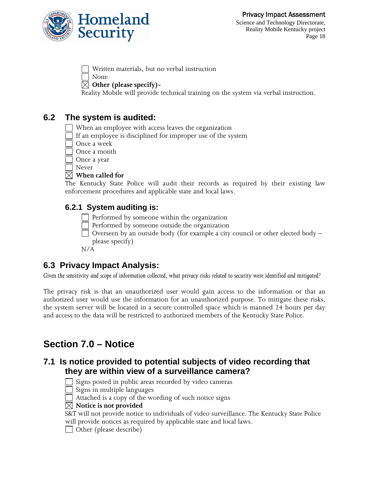

Written materials, but no verbal instruction

None

#### **Other (please specify)-**

Reality Mobile will provide technical training on the system via verbal instruction.

## **6.2 The system is audited:**

When an employee with access leaves the organization

If an employee is disciplined for improper use of the system

- Once a week
- Once a month

Once a year

Never

#### **When called for**

The Kentucky State Police will audit their records as required by their existing law enforcement procedures and applicable state and local laws.

## **6.2.1 System auditing is:**

Performed by someone within the organization

Performed by someone outside the organization

 $\Box$  Overseen by an outside body (for example a city council or other elected body – please specify)

N/A

## **6.3 Privacy Impact Analysis:**

*Given the sensitivity and scope of information collected, what privacy risks related to security were identified and mitigated?*

The privacy risk is that an unauthorized user would gain access to the information or that an authorized user would use the information for an unauthorized purpose. To mitigate these risks, the system server will be located in a secure controlled space which is manned 24 hours per day and access to the data will be restricted to authorized members of the Kentucky State Police.

## **Section 7.0 – Notice**

## **7.1 Is notice provided to potential subjects of video recording that they are within view of a surveillance camera?**



 $\Box$  Signs posted in public areas recorded by video cameras

Signs in multiple languages

Attached is a copy of the wording of such notice signs

 $\boxtimes$  Notice is not provided

S&T will not provide notice to individuals of video surveillance. The Kentucky State Police will provide notices as required by applicable state and local laws.

Other (please describe)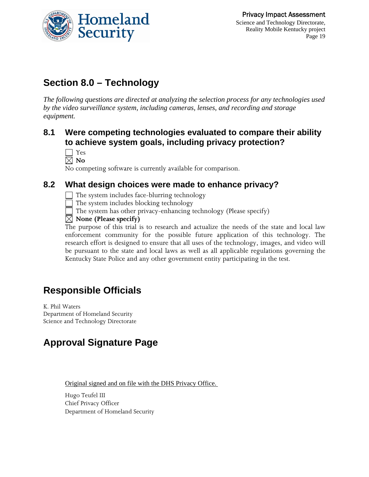

## **Section 8.0 – Technology**

*The following questions are directed at analyzing the selection process for any technologies used by the video surveillance system, including cameras, lenses, and recording and storage equipment.* 

## **8.1 Were competing technologies evaluated to compare their ability to achieve system goals, including privacy protection?**

| ×<br>. . |
|----------|
|----------|

 $\nabla$  No

No competing software is currently available for comparison.

## **8.2 What design choices were made to enhance privacy?**

The system includes face-blurring technology

The system includes blocking technology

 $\Box$  The system has other privacy-enhancing technology (Please specify)

 $\boxtimes$  None (Please specify)

The purpose of this trial is to research and actualize the needs of the state and local law enforcement community for the possible future application of this technology. The research effort is designed to ensure that all uses of the technology, images, and video will be pursuant to the state and local laws as well as all applicable regulations governing the Kentucky State Police and any other government entity participating in the test.

## **Responsible Officials**

K. Phil Waters Department of Homeland Security Science and Technology Directorate

## **Approval Signature Page**

Original signed and on file with the DHS Privacy Office.

Hugo Teufel III Chief Privacy Officer Department of Homeland Security